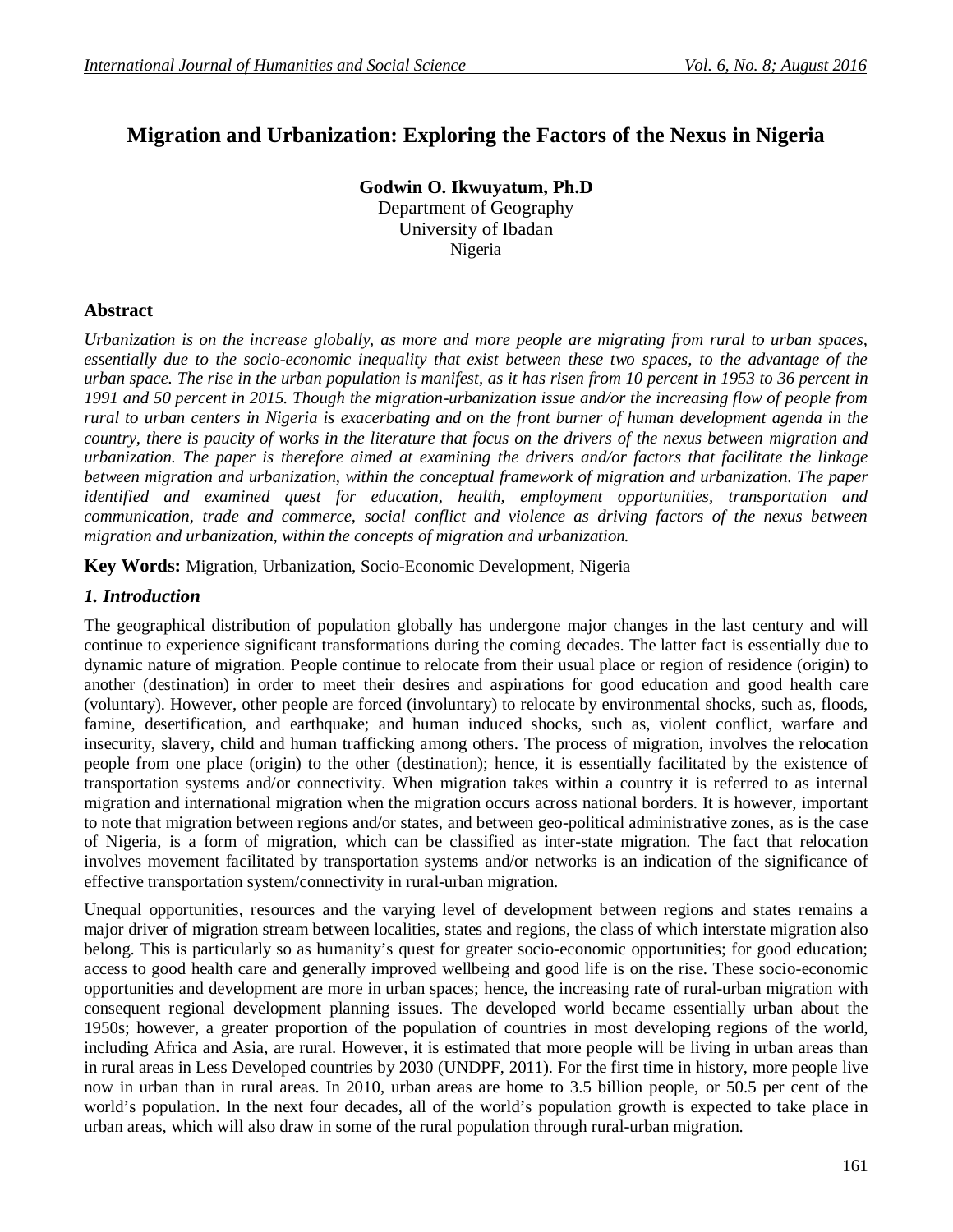# **Migration and Urbanization: Exploring the Factors of the Nexus in Nigeria**

**Godwin O. Ikwuyatum, Ph.D** Department of Geography University of Ibadan Nigeria

### **Abstract**

*Urbanization is on the increase globally, as more and more people are migrating from rural to urban spaces, essentially due to the socio-economic inequality that exist between these two spaces, to the advantage of the urban space. The rise in the urban population is manifest, as it has risen from 10 percent in 1953 to 36 percent in 1991 and 50 percent in 2015. Though the migration-urbanization issue and/or the increasing flow of people from rural to urban centers in Nigeria is exacerbating and on the front burner of human development agenda in the country, there is paucity of works in the literature that focus on the drivers of the nexus between migration and urbanization. The paper is therefore aimed at examining the drivers and/or factors that facilitate the linkage between migration and urbanization, within the conceptual framework of migration and urbanization. The paper identified and examined quest for education, health, employment opportunities, transportation and communication, trade and commerce, social conflict and violence as driving factors of the nexus between migration and urbanization, within the concepts of migration and urbanization.*

**Key Words:** Migration, Urbanization, Socio-Economic Development, Nigeria

### *1. Introduction*

The geographical distribution of population globally has undergone major changes in the last century and will continue to experience significant transformations during the coming decades. The latter fact is essentially due to dynamic nature of migration. People continue to relocate from their usual place or region of residence (origin) to another (destination) in order to meet their desires and aspirations for good education and good health care (voluntary). However, other people are forced (involuntary) to relocate by environmental shocks, such as, floods, famine, desertification, and earthquake; and human induced shocks, such as, violent conflict, warfare and insecurity, slavery, child and human trafficking among others. The process of migration, involves the relocation people from one place (origin) to the other (destination); hence, it is essentially facilitated by the existence of transportation systems and/or connectivity. When migration takes within a country it is referred to as internal migration and international migration when the migration occurs across national borders. It is however, important to note that migration between regions and/or states, and between geo-political administrative zones, as is the case of Nigeria, is a form of migration, which can be classified as inter-state migration. The fact that relocation involves movement facilitated by transportation systems and/or networks is an indication of the significance of effective transportation system/connectivity in rural-urban migration.

Unequal opportunities, resources and the varying level of development between regions and states remains a major driver of migration stream between localities, states and regions, the class of which interstate migration also belong. This is particularly so as humanity's quest for greater socio-economic opportunities; for good education; access to good health care and generally improved wellbeing and good life is on the rise. These socio-economic opportunities and development are more in urban spaces; hence, the increasing rate of rural-urban migration with consequent regional development planning issues. The developed world became essentially urban about the 1950s; however, a greater proportion of the population of countries in most developing regions of the world, including Africa and Asia, are rural. However, it is estimated that more people will be living in urban areas than in rural areas in Less Developed countries by 2030 (UNDPF, 2011). For the first time in history, more people live now in urban than in rural areas. In 2010, urban areas are home to 3.5 billion people, or 50.5 per cent of the world's population. In the next four decades, all of the world's population growth is expected to take place in urban areas, which will also draw in some of the rural population through rural-urban migration.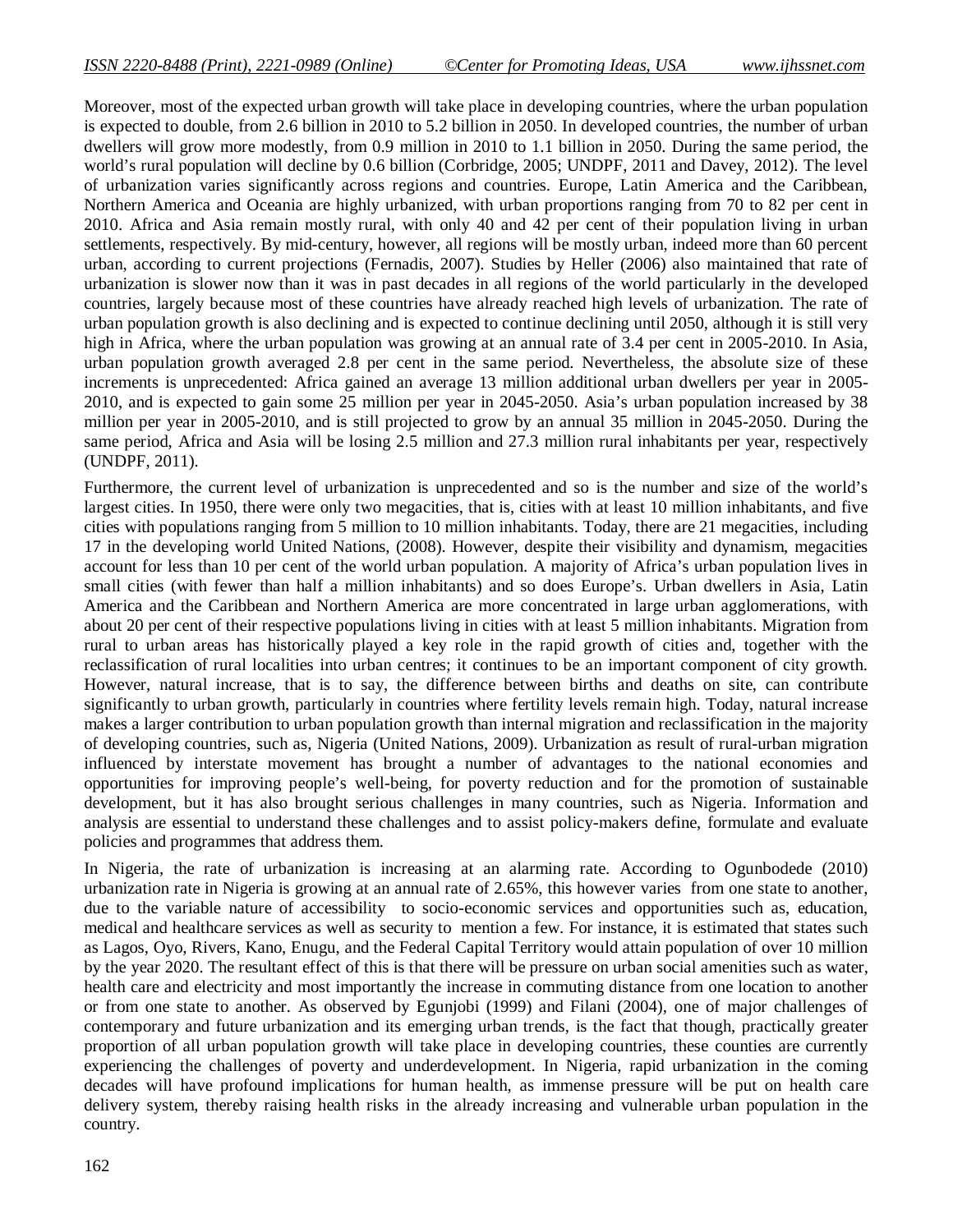Moreover, most of the expected urban growth will take place in developing countries, where the urban population is expected to double, from 2.6 billion in 2010 to 5.2 billion in 2050. In developed countries, the number of urban dwellers will grow more modestly, from 0.9 million in 2010 to 1.1 billion in 2050. During the same period, the world's rural population will decline by 0.6 billion (Corbridge, 2005; UNDPF, 2011 and Davey, 2012). The level of urbanization varies significantly across regions and countries. Europe, Latin America and the Caribbean, Northern America and Oceania are highly urbanized, with urban proportions ranging from 70 to 82 per cent in 2010. Africa and Asia remain mostly rural, with only 40 and 42 per cent of their population living in urban settlements, respectively. By mid-century, however, all regions will be mostly urban, indeed more than 60 percent urban, according to current projections (Fernadis, 2007). Studies by Heller (2006) also maintained that rate of urbanization is slower now than it was in past decades in all regions of the world particularly in the developed countries, largely because most of these countries have already reached high levels of urbanization. The rate of urban population growth is also declining and is expected to continue declining until 2050, although it is still very high in Africa, where the urban population was growing at an annual rate of 3.4 per cent in 2005-2010. In Asia, urban population growth averaged 2.8 per cent in the same period. Nevertheless, the absolute size of these increments is unprecedented: Africa gained an average 13 million additional urban dwellers per year in 2005- 2010, and is expected to gain some 25 million per year in 2045-2050. Asia's urban population increased by 38 million per year in 2005-2010, and is still projected to grow by an annual 35 million in 2045-2050. During the same period, Africa and Asia will be losing 2.5 million and 27.3 million rural inhabitants per year, respectively (UNDPF, 2011).

Furthermore, the current level of urbanization is unprecedented and so is the number and size of the world's largest cities. In 1950, there were only two megacities, that is, cities with at least 10 million inhabitants, and five cities with populations ranging from 5 million to 10 million inhabitants. Today, there are 21 megacities, including 17 in the developing world United Nations, (2008). However, despite their visibility and dynamism, megacities account for less than 10 per cent of the world urban population. A majority of Africa's urban population lives in small cities (with fewer than half a million inhabitants) and so does Europe's. Urban dwellers in Asia, Latin America and the Caribbean and Northern America are more concentrated in large urban agglomerations, with about 20 per cent of their respective populations living in cities with at least 5 million inhabitants. Migration from rural to urban areas has historically played a key role in the rapid growth of cities and, together with the reclassification of rural localities into urban centres; it continues to be an important component of city growth. However, natural increase, that is to say, the difference between births and deaths on site, can contribute significantly to urban growth, particularly in countries where fertility levels remain high. Today, natural increase makes a larger contribution to urban population growth than internal migration and reclassification in the majority of developing countries, such as, Nigeria (United Nations, 2009). Urbanization as result of rural-urban migration influenced by interstate movement has brought a number of advantages to the national economies and opportunities for improving people's well-being, for poverty reduction and for the promotion of sustainable development, but it has also brought serious challenges in many countries, such as Nigeria. Information and analysis are essential to understand these challenges and to assist policy-makers define, formulate and evaluate policies and programmes that address them.

In Nigeria, the rate of urbanization is increasing at an alarming rate. According to Ogunbodede (2010) urbanization rate in Nigeria is growing at an annual rate of 2.65%, this however varies from one state to another, due to the variable nature of accessibility to socio-economic services and opportunities such as, education, medical and healthcare services as well as security to mention a few. For instance, it is estimated that states such as Lagos, Oyo, Rivers, Kano, Enugu, and the Federal Capital Territory would attain population of over 10 million by the year 2020. The resultant effect of this is that there will be pressure on urban social amenities such as water, health care and electricity and most importantly the increase in commuting distance from one location to another or from one state to another. As observed by Egunjobi (1999) and Filani (2004), one of major challenges of contemporary and future urbanization and its emerging urban trends, is the fact that though, practically greater proportion of all urban population growth will take place in developing countries, these counties are currently experiencing the challenges of poverty and underdevelopment. In Nigeria, rapid urbanization in the coming decades will have profound implications for human health, as immense pressure will be put on health care delivery system, thereby raising health risks in the already increasing and vulnerable urban population in the country.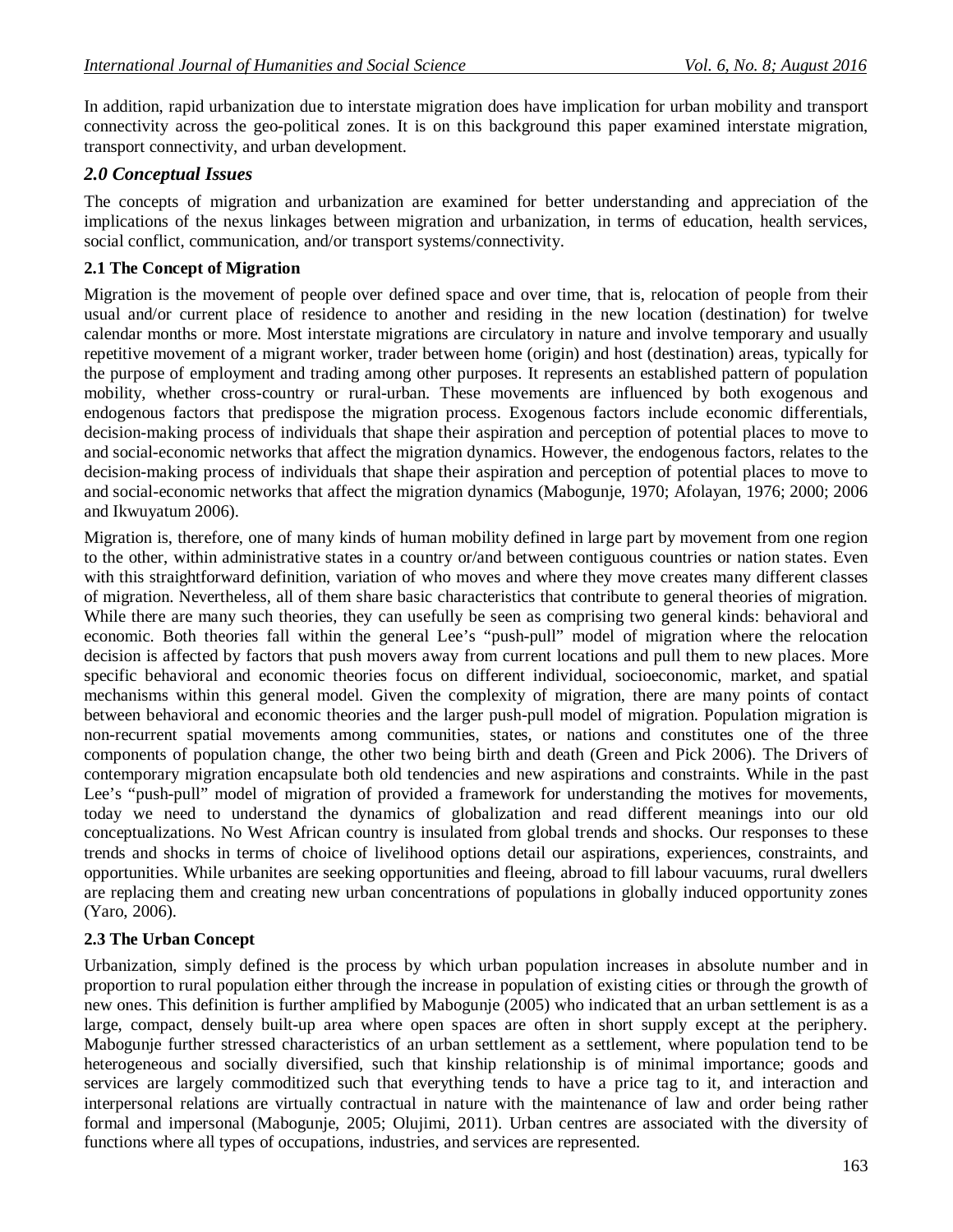In addition, rapid urbanization due to interstate migration does have implication for urban mobility and transport connectivity across the geo-political zones. It is on this background this paper examined interstate migration, transport connectivity, and urban development.

### *2.0 Conceptual Issues*

The concepts of migration and urbanization are examined for better understanding and appreciation of the implications of the nexus linkages between migration and urbanization, in terms of education, health services, social conflict, communication, and/or transport systems/connectivity.

### **2.1 The Concept of Migration**

Migration is the movement of people over defined space and over time, that is, relocation of people from their usual and/or current place of residence to another and residing in the new location (destination) for twelve calendar months or more. Most interstate migrations are circulatory in nature and involve temporary and usually repetitive movement of a migrant worker, trader between home (origin) and host (destination) areas, typically for the purpose of employment and trading among other purposes. It represents an established pattern of population mobility, whether cross-country or rural-urban. These movements are influenced by both exogenous and endogenous factors that predispose the migration process. Exogenous factors include economic differentials, decision-making process of individuals that shape their aspiration and perception of potential places to move to and social-economic networks that affect the migration dynamics. However, the endogenous factors, relates to the decision-making process of individuals that shape their aspiration and perception of potential places to move to and social-economic networks that affect the migration dynamics (Mabogunje, 1970; Afolayan, 1976; 2000; 2006 and Ikwuyatum 2006).

Migration is, therefore, one of many kinds of human mobility defined in large part by movement from one region to the other, within administrative states in a country or/and between contiguous countries or nation states. Even with this straightforward definition, variation of who moves and where they move creates many different classes of migration. Nevertheless, all of them share basic characteristics that contribute to general theories of migration. While there are many such theories, they can usefully be seen as comprising two general kinds: behavioral and economic. Both theories fall within the general Lee's "push-pull" model of migration where the relocation decision is affected by factors that push movers away from current locations and pull them to new places. More specific behavioral and economic theories focus on different individual, socioeconomic, market, and spatial mechanisms within this general model. Given the complexity of migration, there are many points of contact between behavioral and economic theories and the larger push-pull model of migration. Population migration is non-recurrent spatial movements among communities, states, or nations and constitutes one of the three components of population change, the other two being birth and death (Green and Pick 2006). The Drivers of contemporary migration encapsulate both old tendencies and new aspirations and constraints. While in the past Lee's "push-pull" model of migration of provided a framework for understanding the motives for movements, today we need to understand the dynamics of globalization and read different meanings into our old conceptualizations. No West African country is insulated from global trends and shocks. Our responses to these trends and shocks in terms of choice of livelihood options detail our aspirations, experiences, constraints, and opportunities. While urbanites are seeking opportunities and fleeing, abroad to fill labour vacuums, rural dwellers are replacing them and creating new urban concentrations of populations in globally induced opportunity zones (Yaro, 2006).

### **2.3 The Urban Concept**

Urbanization, simply defined is the process by which urban population increases in absolute number and in proportion to rural population either through the increase in population of existing cities or through the growth of new ones. This definition is further amplified by Mabogunje (2005) who indicated that an urban settlement is as a large, compact, densely built-up area where open spaces are often in short supply except at the periphery. Mabogunje further stressed characteristics of an urban settlement as a settlement, where population tend to be heterogeneous and socially diversified, such that kinship relationship is of minimal importance; goods and services are largely commoditized such that everything tends to have a price tag to it, and interaction and interpersonal relations are virtually contractual in nature with the maintenance of law and order being rather formal and impersonal (Mabogunje, 2005; Olujimi, 2011). Urban centres are associated with the diversity of functions where all types of occupations, industries, and services are represented.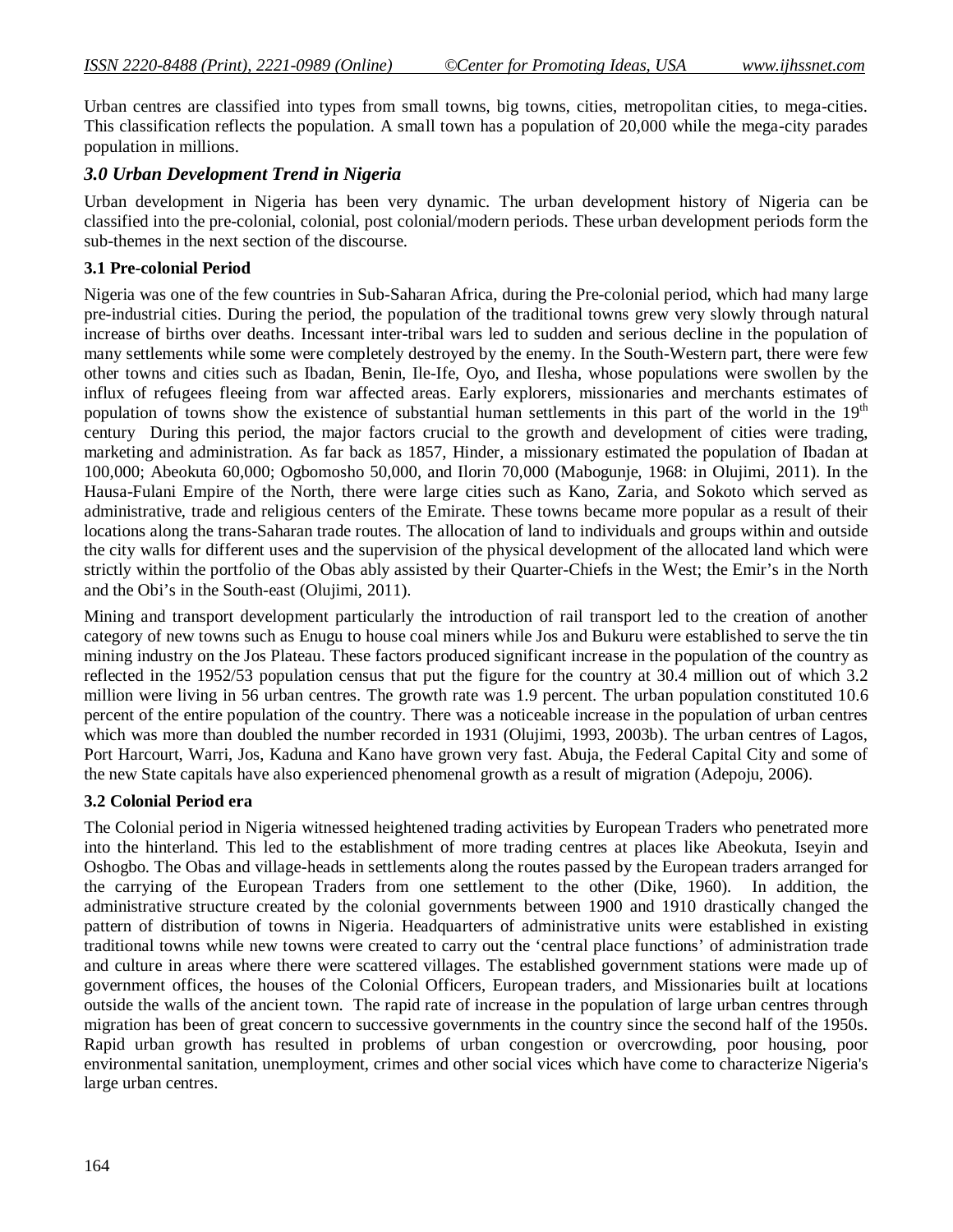Urban centres are classified into types from small towns, big towns, cities, metropolitan cities, to mega-cities. This classification reflects the population. A small town has a population of 20,000 while the mega-city parades population in millions.

### *3.0 Urban Development Trend in Nigeria*

Urban development in Nigeria has been very dynamic. The urban development history of Nigeria can be classified into the pre-colonial, colonial, post colonial/modern periods. These urban development periods form the sub-themes in the next section of the discourse.

### **3.1 Pre-colonial Period**

Nigeria was one of the few countries in Sub-Saharan Africa, during the Pre-colonial period, which had many large pre-industrial cities. During the period, the population of the traditional towns grew very slowly through natural increase of births over deaths. Incessant inter-tribal wars led to sudden and serious decline in the population of many settlements while some were completely destroyed by the enemy. In the South-Western part, there were few other towns and cities such as Ibadan, Benin, Ile-Ife, Oyo, and Ilesha, whose populations were swollen by the influx of refugees fleeing from war affected areas. Early explorers, missionaries and merchants estimates of population of towns show the existence of substantial human settlements in this part of the world in the 19<sup>th</sup> century During this period, the major factors crucial to the growth and development of cities were trading, marketing and administration. As far back as 1857, Hinder, a missionary estimated the population of Ibadan at 100,000; Abeokuta 60,000; Ogbomosho 50,000, and Ilorin 70,000 (Mabogunje, 1968: in Olujimi, 2011). In the Hausa-Fulani Empire of the North, there were large cities such as Kano, Zaria, and Sokoto which served as administrative, trade and religious centers of the Emirate. These towns became more popular as a result of their locations along the trans-Saharan trade routes. The allocation of land to individuals and groups within and outside the city walls for different uses and the supervision of the physical development of the allocated land which were strictly within the portfolio of the Obas ably assisted by their Quarter-Chiefs in the West; the Emir's in the North and the Obi's in the South-east (Olujimi, 2011).

Mining and transport development particularly the introduction of rail transport led to the creation of another category of new towns such as Enugu to house coal miners while Jos and Bukuru were established to serve the tin mining industry on the Jos Plateau. These factors produced significant increase in the population of the country as reflected in the 1952/53 population census that put the figure for the country at 30.4 million out of which 3.2 million were living in 56 urban centres. The growth rate was 1.9 percent. The urban population constituted 10.6 percent of the entire population of the country. There was a noticeable increase in the population of urban centres which was more than doubled the number recorded in 1931 (Olujimi, 1993, 2003b). The urban centres of Lagos, Port Harcourt, Warri, Jos, Kaduna and Kano have grown very fast. Abuja, the Federal Capital City and some of the new State capitals have also experienced phenomenal growth as a result of migration (Adepoju, 2006).

#### **3.2 Colonial Period era**

The Colonial period in Nigeria witnessed heightened trading activities by European Traders who penetrated more into the hinterland. This led to the establishment of more trading centres at places like Abeokuta, Iseyin and Oshogbo. The Obas and village-heads in settlements along the routes passed by the European traders arranged for the carrying of the European Traders from one settlement to the other (Dike, 1960). In addition, the administrative structure created by the colonial governments between 1900 and 1910 drastically changed the pattern of distribution of towns in Nigeria. Headquarters of administrative units were established in existing traditional towns while new towns were created to carry out the 'central place functions' of administration trade and culture in areas where there were scattered villages. The established government stations were made up of government offices, the houses of the Colonial Officers, European traders, and Missionaries built at locations outside the walls of the ancient town. The rapid rate of increase in the population of large urban centres through migration has been of great concern to successive governments in the country since the second half of the 1950s. Rapid urban growth has resulted in problems of urban congestion or overcrowding, poor housing, poor environmental sanitation, unemployment, crimes and other social vices which have come to characterize Nigeria's large urban centres.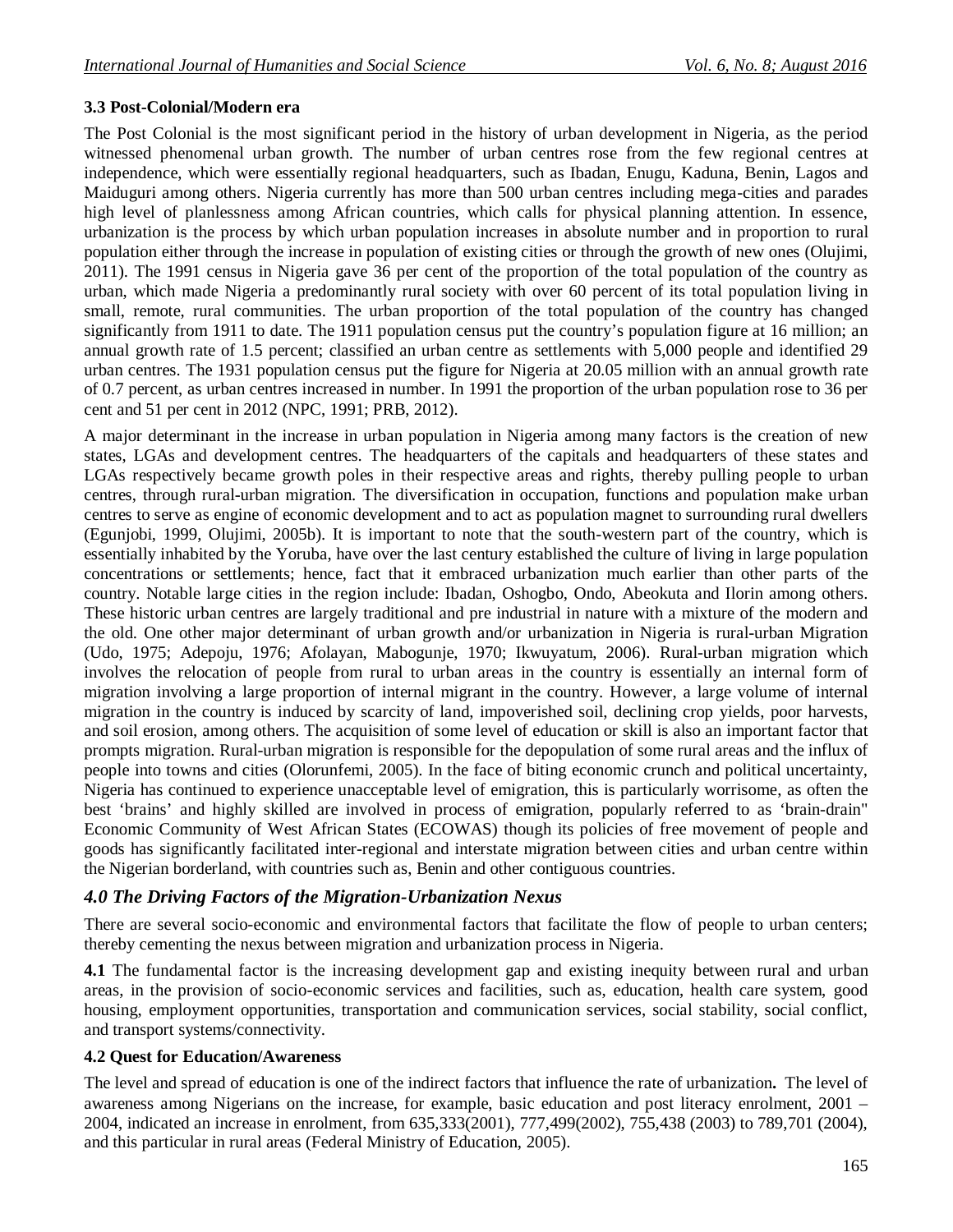### **3.3 Post-Colonial/Modern era**

The Post Colonial is the most significant period in the history of urban development in Nigeria, as the period witnessed phenomenal urban growth. The number of urban centres rose from the few regional centres at independence, which were essentially regional headquarters, such as Ibadan, Enugu, Kaduna, Benin, Lagos and Maiduguri among others. Nigeria currently has more than 500 urban centres including mega-cities and parades high level of planlessness among African countries, which calls for physical planning attention. In essence, urbanization is the process by which urban population increases in absolute number and in proportion to rural population either through the increase in population of existing cities or through the growth of new ones (Olujimi, 2011). The 1991 census in Nigeria gave 36 per cent of the proportion of the total population of the country as urban, which made Nigeria a predominantly rural society with over 60 percent of its total population living in small, remote, rural communities. The urban proportion of the total population of the country has changed significantly from 1911 to date. The 1911 population census put the country's population figure at 16 million; an annual growth rate of 1.5 percent; classified an urban centre as settlements with 5,000 people and identified 29 urban centres. The 1931 population census put the figure for Nigeria at 20.05 million with an annual growth rate of 0.7 percent, as urban centres increased in number. In 1991 the proportion of the urban population rose to 36 per cent and 51 per cent in 2012 (NPC, 1991; PRB, 2012).

A major determinant in the increase in urban population in Nigeria among many factors is the creation of new states, LGAs and development centres. The headquarters of the capitals and headquarters of these states and LGAs respectively became growth poles in their respective areas and rights, thereby pulling people to urban centres, through rural-urban migration. The diversification in occupation, functions and population make urban centres to serve as engine of economic development and to act as population magnet to surrounding rural dwellers (Egunjobi, 1999, Olujimi, 2005b). It is important to note that the south-western part of the country, which is essentially inhabited by the Yoruba, have over the last century established the culture of living in large population concentrations or settlements; hence, fact that it embraced urbanization much earlier than other parts of the country. Notable large cities in the region include: Ibadan, Oshogbo, Ondo, Abeokuta and Ilorin among others. These historic urban centres are largely traditional and pre industrial in nature with a mixture of the modern and the old. One other major determinant of urban growth and/or urbanization in Nigeria is rural-urban Migration (Udo, 1975; Adepoju, 1976; Afolayan, Mabogunje, 1970; Ikwuyatum, 2006). Rural-urban migration which involves the relocation of people from rural to urban areas in the country is essentially an internal form of migration involving a large proportion of internal migrant in the country. However, a large volume of internal migration in the country is induced by scarcity of land, impoverished soil, declining crop yields, poor harvests, and soil erosion, among others. The acquisition of some level of education or skill is also an important factor that prompts migration. Rural-urban migration is responsible for the depopulation of some rural areas and the influx of people into towns and cities (Olorunfemi, 2005). In the face of biting economic crunch and political uncertainty, Nigeria has continued to experience unacceptable level of emigration, this is particularly worrisome, as often the best 'brains' and highly skilled are involved in process of emigration, popularly referred to as 'brain-drain" Economic Community of West African States (ECOWAS) though its policies of free movement of people and goods has significantly facilitated inter-regional and interstate migration between cities and urban centre within the Nigerian borderland, with countries such as, Benin and other contiguous countries.

### *4.0 The Driving Factors of the Migration-Urbanization Nexus*

There are several socio-economic and environmental factors that facilitate the flow of people to urban centers; thereby cementing the nexus between migration and urbanization process in Nigeria.

**4.1** The fundamental factor is the increasing development gap and existing inequity between rural and urban areas, in the provision of socio-economic services and facilities, such as, education, health care system, good housing, employment opportunities, transportation and communication services, social stability, social conflict, and transport systems/connectivity.

### **4.2 Quest for Education/Awareness**

The level and spread of education is one of the indirect factors that influence the rate of urbanization**.** The level of awareness among Nigerians on the increase, for example, basic education and post literacy enrolment, 2001 – 2004, indicated an increase in enrolment, from 635,333(2001), 777,499(2002), 755,438 (2003) to 789,701 (2004), and this particular in rural areas (Federal Ministry of Education, 2005).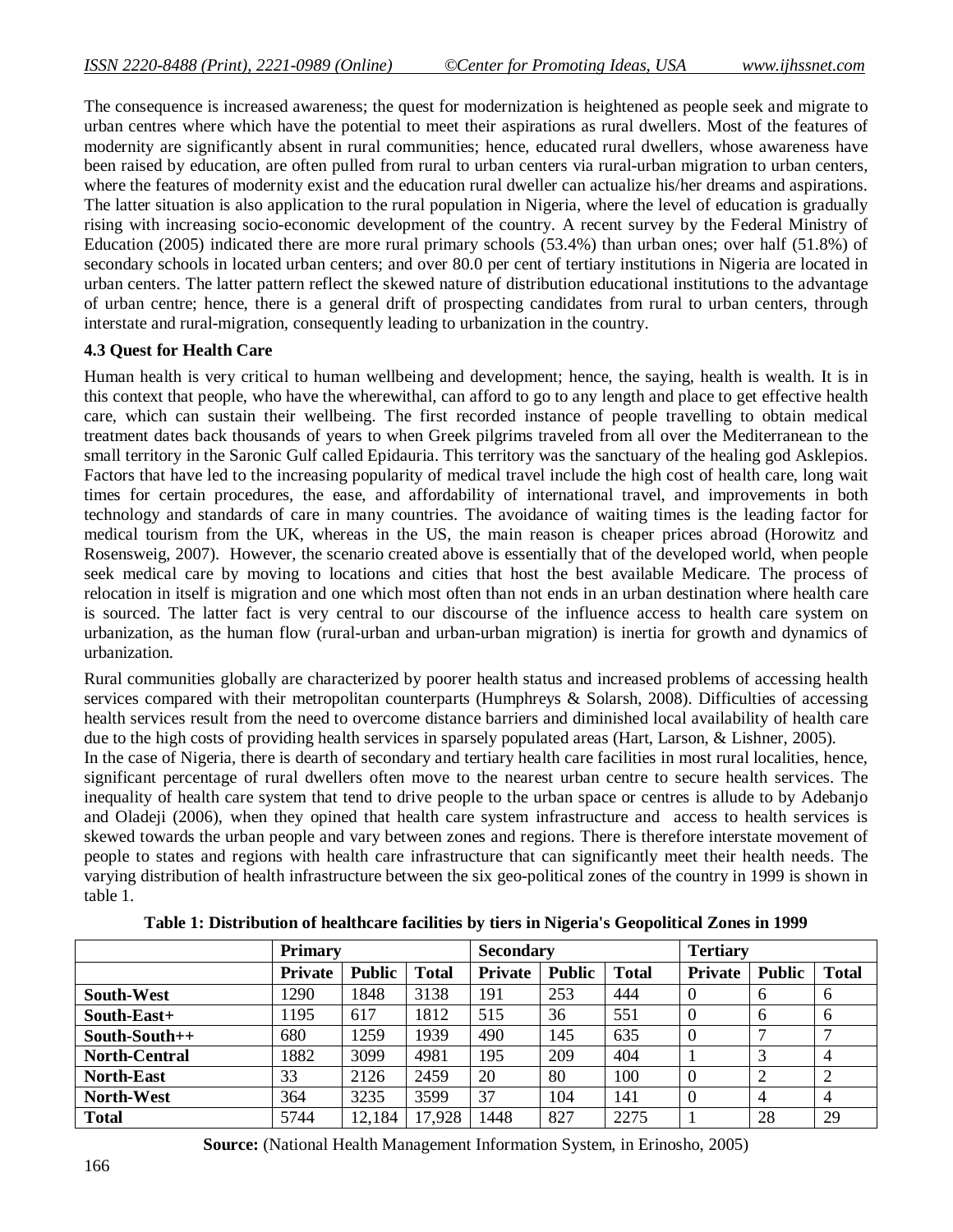The consequence is increased awareness; the quest for modernization is heightened as people seek and migrate to urban centres where which have the potential to meet their aspirations as rural dwellers. Most of the features of modernity are significantly absent in rural communities; hence, educated rural dwellers, whose awareness have been raised by education, are often pulled from rural to urban centers via rural-urban migration to urban centers, where the features of modernity exist and the education rural dweller can actualize his/her dreams and aspirations. The latter situation is also application to the rural population in Nigeria, where the level of education is gradually rising with increasing socio-economic development of the country. A recent survey by the Federal Ministry of Education (2005) indicated there are more rural primary schools (53.4%) than urban ones; over half (51.8%) of secondary schools in located urban centers; and over 80.0 per cent of tertiary institutions in Nigeria are located in urban centers. The latter pattern reflect the skewed nature of distribution educational institutions to the advantage of urban centre; hence, there is a general drift of prospecting candidates from rural to urban centers, through interstate and rural-migration, consequently leading to urbanization in the country.

### **4.3 Quest for Health Care**

Human health is very critical to human wellbeing and development; hence, the saying, health is wealth. It is in this context that people, who have the wherewithal, can afford to go to any length and place to get effective health care, which can sustain their wellbeing. The first recorded instance of people travelling to obtain medical treatment dates back thousands of years to when Greek pilgrims traveled from all over the Mediterranean to the small territory in the Saronic Gulf called Epidauria. This territory was the sanctuary of the healing god Asklepios. Factors that have led to the increasing popularity of medical travel include the high cost of health care, long wait times for certain procedures, the ease, and affordability of international travel, and improvements in both technology and standards of care in many countries. The avoidance of waiting times is the leading factor for medical tourism from the UK, whereas in the US, the main reason is cheaper prices abroad (Horowitz and Rosensweig, 2007). However, the scenario created above is essentially that of the developed world, when people seek medical care by moving to locations and cities that host the best available Medicare. The process of relocation in itself is migration and one which most often than not ends in an urban destination where health care is sourced. The latter fact is very central to our discourse of the influence access to health care system on urbanization, as the human flow (rural-urban and urban-urban migration) is inertia for growth and dynamics of urbanization.

Rural communities globally are characterized by poorer health status and increased problems of accessing health services compared with their metropolitan counterparts (Humphreys & Solarsh, 2008). Difficulties of accessing health services result from the need to overcome distance barriers and diminished local availability of health care due to the high costs of providing health services in sparsely populated areas (Hart, Larson, & Lishner, 2005).

In the case of Nigeria, there is dearth of secondary and tertiary health care facilities in most rural localities, hence, significant percentage of rural dwellers often move to the nearest urban centre to secure health services. The inequality of health care system that tend to drive people to the urban space or centres is allude to by Adebanjo and Oladeji (2006), when they opined that health care system infrastructure and access to health services is skewed towards the urban people and vary between zones and regions. There is therefore interstate movement of people to states and regions with health care infrastructure that can significantly meet their health needs. The varying distribution of health infrastructure between the six geo-political zones of the country in 1999 is shown in table 1.

|                      | <b>Primary</b> |               |              | <b>Secondary</b> |               |              | <b>Tertiary</b> |               |                |  |
|----------------------|----------------|---------------|--------------|------------------|---------------|--------------|-----------------|---------------|----------------|--|
|                      | <b>Private</b> | <b>Public</b> | <b>Total</b> | <b>Private</b>   | <b>Public</b> | <b>Total</b> | <b>Private</b>  | <b>Public</b> | <b>Total</b>   |  |
| <b>South-West</b>    | 1290           | 1848          | 3138         | 191              | 253           | 444          | $\theta$        | 6             | 6              |  |
| South-East+          | 1195           | 617           | 1812         | 515              | 36            | 551          | $\theta$        | 6             | 6              |  |
| South-South++        | 680            | 1259          | 1939         | 490              | 145           | 635          | $\theta$        |               |                |  |
| <b>North-Central</b> | 1882           | 3099          | 4981         | 195              | 209           | 404          |                 |               | 4              |  |
| <b>North-East</b>    | 33             | 2126          | 2459         | 20               | 80            | 100          | $\theta$        | 2             |                |  |
| <b>North-West</b>    | 364            | 3235          | 3599         | 37               | 104           | 141          |                 |               | $\overline{4}$ |  |
| <b>Total</b>         | 5744           | 12,184        | 17,928       | 1448             | 827           | 2275         |                 | 28            | 29             |  |

**Table 1: Distribution of healthcare facilities by tiers in Nigeria's Geopolitical Zones in 1999**

**Source:** (National Health Management Information System, in Erinosho, 2005)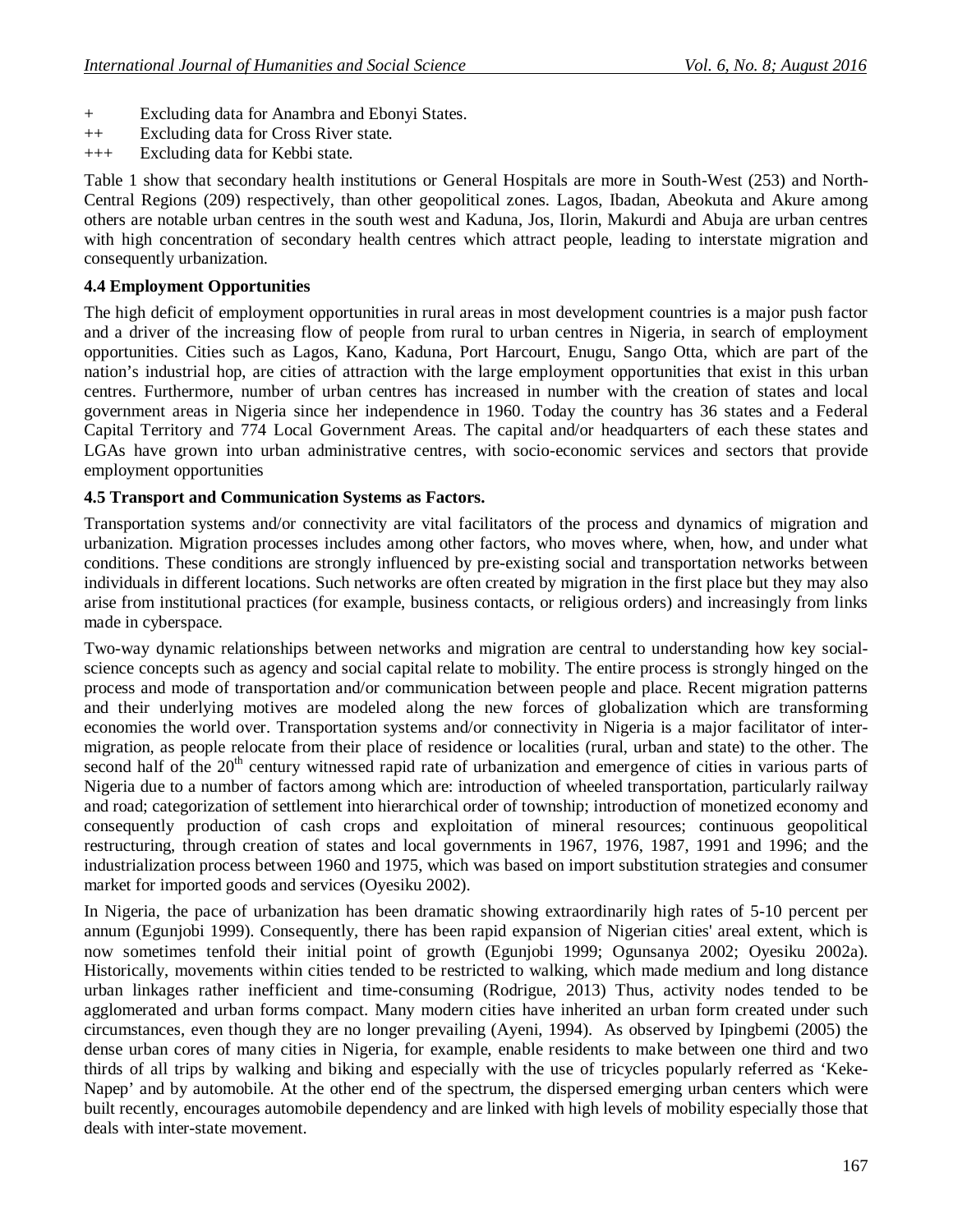- + Excluding data for Anambra and Ebonyi States.
- ++ Excluding data for Cross River state.
- +++ Excluding data for Kebbi state.

Table 1 show that secondary health institutions or General Hospitals are more in South-West (253) and North-Central Regions (209) respectively, than other geopolitical zones. Lagos, Ibadan, Abeokuta and Akure among others are notable urban centres in the south west and Kaduna, Jos, Ilorin, Makurdi and Abuja are urban centres with high concentration of secondary health centres which attract people, leading to interstate migration and consequently urbanization.

#### **4.4 Employment Opportunities**

The high deficit of employment opportunities in rural areas in most development countries is a major push factor and a driver of the increasing flow of people from rural to urban centres in Nigeria, in search of employment opportunities. Cities such as Lagos, Kano, Kaduna, Port Harcourt, Enugu, Sango Otta, which are part of the nation's industrial hop, are cities of attraction with the large employment opportunities that exist in this urban centres. Furthermore, number of urban centres has increased in number with the creation of states and local government areas in Nigeria since her independence in 1960. Today the country has 36 states and a Federal Capital Territory and 774 Local Government Areas. The capital and/or headquarters of each these states and LGAs have grown into urban administrative centres, with socio-economic services and sectors that provide employment opportunities

### **4.5 Transport and Communication Systems as Factors.**

Transportation systems and/or connectivity are vital facilitators of the process and dynamics of migration and urbanization. Migration processes includes among other factors, who moves where, when, how, and under what conditions. These conditions are strongly influenced by pre-existing social and transportation networks between individuals in different locations. Such networks are often created by migration in the first place but they may also arise from institutional practices (for example, business contacts, or religious orders) and increasingly from links made in cyberspace.

Two-way dynamic relationships between networks and migration are central to understanding how key socialscience concepts such as agency and social capital relate to mobility. The entire process is strongly hinged on the process and mode of transportation and/or communication between people and place. Recent migration patterns and their underlying motives are modeled along the new forces of globalization which are transforming economies the world over. Transportation systems and/or connectivity in Nigeria is a major facilitator of intermigration, as people relocate from their place of residence or localities (rural, urban and state) to the other. The second half of the 20<sup>th</sup> century witnessed rapid rate of urbanization and emergence of cities in various parts of Nigeria due to a number of factors among which are: introduction of wheeled transportation, particularly railway and road; categorization of settlement into hierarchical order of township; introduction of monetized economy and consequently production of cash crops and exploitation of mineral resources; continuous geopolitical restructuring, through creation of states and local governments in 1967, 1976, 1987, 1991 and 1996; and the industrialization process between 1960 and 1975, which was based on import substitution strategies and consumer market for imported goods and services (Oyesiku 2002).

In Nigeria, the pace of urbanization has been dramatic showing extraordinarily high rates of 5-10 percent per annum (Egunjobi 1999). Consequently, there has been rapid expansion of Nigerian cities' areal extent, which is now sometimes tenfold their initial point of growth (Egunjobi 1999; Ogunsanya 2002; Oyesiku 2002a). Historically, movements within cities tended to be restricted to walking, which made medium and long distance urban linkages rather inefficient and time-consuming (Rodrigue, 2013) Thus, activity nodes tended to be agglomerated and urban forms compact. Many modern cities have inherited an urban form created under such circumstances, even though they are no longer prevailing (Ayeni, 1994). As observed by Ipingbemi (2005) the dense urban cores of many cities in Nigeria, for example, enable residents to make between one third and two thirds of all trips by walking and biking and especially with the use of tricycles popularly referred as 'Keke-Napep' and by automobile. At the other end of the spectrum, the dispersed emerging urban centers which were built recently, encourages automobile dependency and are linked with high levels of mobility especially those that deals with inter-state movement.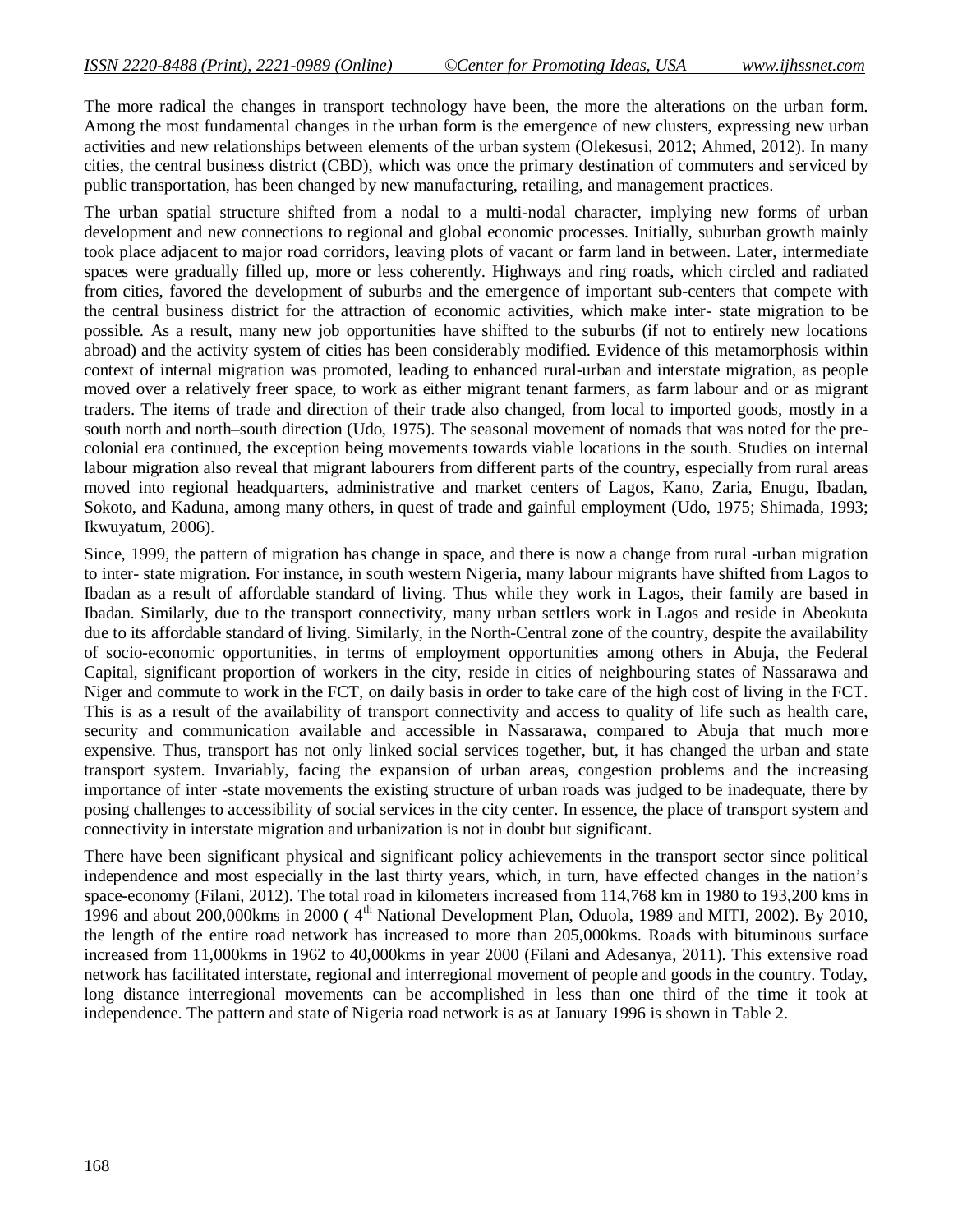The more radical the changes in transport technology have been, the more the alterations on the urban form. Among the most fundamental changes in the urban form is the emergence of new clusters, expressing new urban activities and new relationships between elements of the urban system (Olekesusi, 2012; Ahmed, 2012). In many cities, the central business district (CBD), which was once the primary destination of commuters and serviced by public transportation, has been changed by new manufacturing, retailing, and management practices.

The urban spatial structure shifted from a nodal to a multi-nodal character, implying new forms of urban development and new connections to regional and global economic processes. Initially, suburban growth mainly took place adjacent to major road corridors, leaving plots of vacant or farm land in between. Later, intermediate spaces were gradually filled up, more or less coherently. Highways and ring roads, which circled and radiated from cities, favored the development of suburbs and the emergence of important sub-centers that compete with the central business district for the attraction of economic activities, which make inter- state migration to be possible. As a result, many new job opportunities have shifted to the suburbs (if not to entirely new locations abroad) and the activity system of cities has been considerably modified. Evidence of this metamorphosis within context of internal migration was promoted, leading to enhanced rural-urban and interstate migration, as people moved over a relatively freer space, to work as either migrant tenant farmers, as farm labour and or as migrant traders. The items of trade and direction of their trade also changed, from local to imported goods, mostly in a south north and north–south direction (Udo, 1975). The seasonal movement of nomads that was noted for the precolonial era continued, the exception being movements towards viable locations in the south. Studies on internal labour migration also reveal that migrant labourers from different parts of the country, especially from rural areas moved into regional headquarters, administrative and market centers of Lagos, Kano, Zaria, Enugu, Ibadan, Sokoto, and Kaduna, among many others, in quest of trade and gainful employment (Udo, 1975; Shimada, 1993; Ikwuyatum, 2006).

Since, 1999, the pattern of migration has change in space, and there is now a change from rural -urban migration to inter- state migration. For instance, in south western Nigeria, many labour migrants have shifted from Lagos to Ibadan as a result of affordable standard of living. Thus while they work in Lagos, their family are based in Ibadan. Similarly, due to the transport connectivity, many urban settlers work in Lagos and reside in Abeokuta due to its affordable standard of living. Similarly, in the North-Central zone of the country, despite the availability of socio-economic opportunities, in terms of employment opportunities among others in Abuja, the Federal Capital, significant proportion of workers in the city, reside in cities of neighbouring states of Nassarawa and Niger and commute to work in the FCT, on daily basis in order to take care of the high cost of living in the FCT. This is as a result of the availability of transport connectivity and access to quality of life such as health care, security and communication available and accessible in Nassarawa, compared to Abuja that much more expensive. Thus, transport has not only linked social services together, but, it has changed the urban and state transport system. Invariably, facing the expansion of urban areas, congestion problems and the increasing importance of inter -state movements the existing structure of urban roads was judged to be inadequate, there by posing challenges to accessibility of social services in the city center. In essence, the place of transport system and connectivity in interstate migration and urbanization is not in doubt but significant.

There have been significant physical and significant policy achievements in the transport sector since political independence and most especially in the last thirty years, which, in turn, have effected changes in the nation's space-economy (Filani, 2012). The total road in kilometers increased from 114,768 km in 1980 to 193,200 kms in 1996 and about 200,000kms in 2000 ( $4<sup>th</sup>$  National Development Plan, Oduola, 1989 and MITI, 2002). By 2010, the length of the entire road network has increased to more than 205,000kms. Roads with bituminous surface increased from 11,000kms in 1962 to 40,000kms in year 2000 (Filani and Adesanya, 2011). This extensive road network has facilitated interstate, regional and interregional movement of people and goods in the country. Today, long distance interregional movements can be accomplished in less than one third of the time it took at independence. The pattern and state of Nigeria road network is as at January 1996 is shown in Table 2.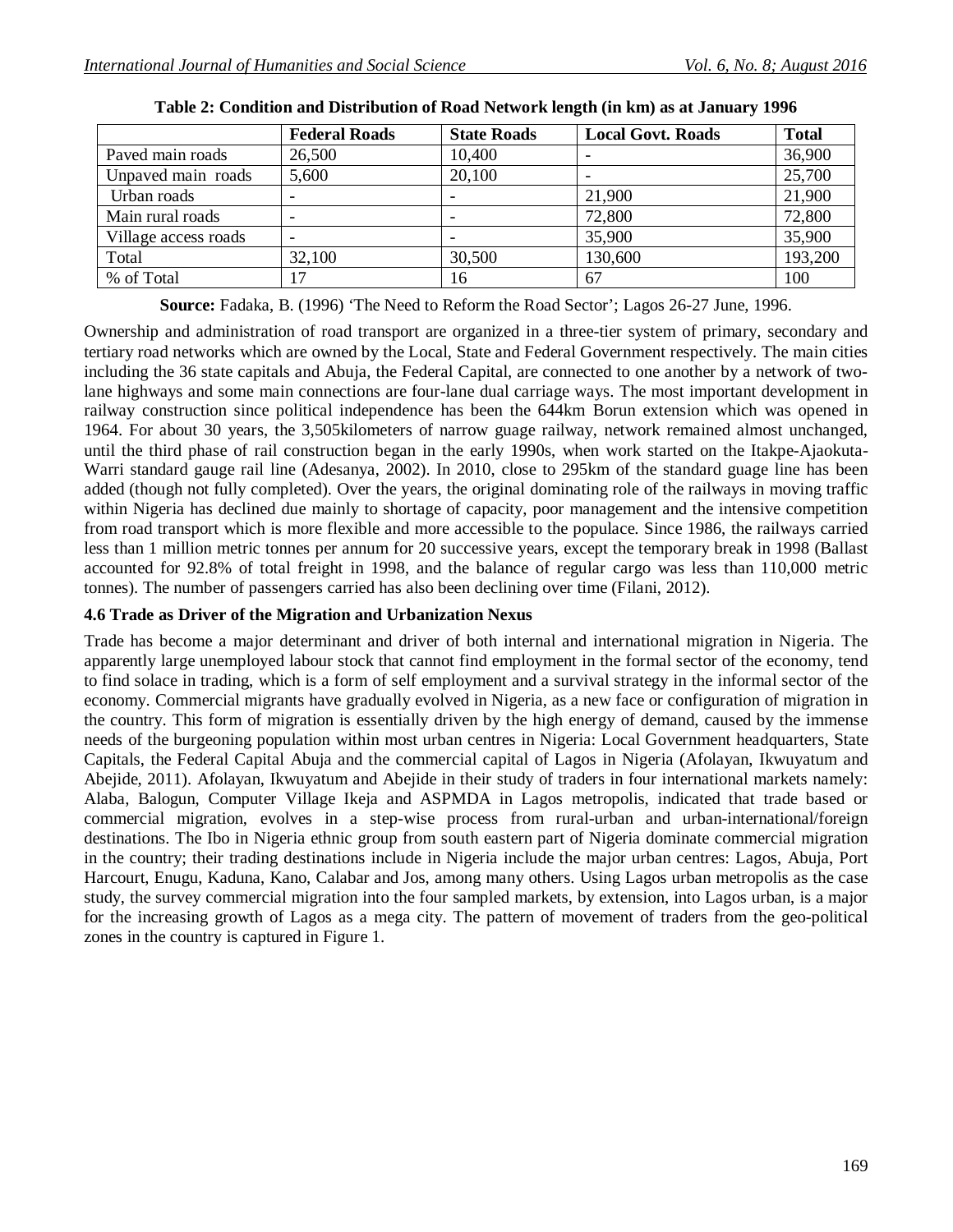|                      | <b>Federal Roads</b> | <b>State Roads</b> | <b>Local Govt. Roads</b> | <b>Total</b> |
|----------------------|----------------------|--------------------|--------------------------|--------------|
| Paved main roads     | 26,500               | 10,400             |                          | 36,900       |
| Unpaved main roads   | 5,600                | 20,100             |                          | 25,700       |
| Urban roads          |                      |                    | 21,900                   | 21,900       |
| Main rural roads     |                      |                    | 72,800                   | 72,800       |
| Village access roads |                      |                    | 35,900                   | 35,900       |
| Total                | 32,100               | 30,500             | 130,600                  | 193,200      |
| % of Total           | $\overline{17}$      | 16                 | 67                       | 100          |

|  |  | Table 2: Condition and Distribution of Road Network length (in km) as at January 1996 |  |  |  |  |  |  |  |
|--|--|---------------------------------------------------------------------------------------|--|--|--|--|--|--|--|
|--|--|---------------------------------------------------------------------------------------|--|--|--|--|--|--|--|

**Source:** Fadaka, B. (1996) 'The Need to Reform the Road Sector'; Lagos 26-27 June, 1996.

Ownership and administration of road transport are organized in a three-tier system of primary, secondary and tertiary road networks which are owned by the Local, State and Federal Government respectively. The main cities including the 36 state capitals and Abuja, the Federal Capital, are connected to one another by a network of twolane highways and some main connections are four-lane dual carriage ways. The most important development in railway construction since political independence has been the 644km Borun extension which was opened in 1964. For about 30 years, the 3,505kilometers of narrow guage railway, network remained almost unchanged, until the third phase of rail construction began in the early 1990s, when work started on the Itakpe-Ajaokuta-Warri standard gauge rail line (Adesanya, 2002). In 2010, close to 295km of the standard guage line has been added (though not fully completed). Over the years, the original dominating role of the railways in moving traffic within Nigeria has declined due mainly to shortage of capacity, poor management and the intensive competition from road transport which is more flexible and more accessible to the populace. Since 1986, the railways carried less than 1 million metric tonnes per annum for 20 successive years, except the temporary break in 1998 (Ballast accounted for 92.8% of total freight in 1998, and the balance of regular cargo was less than 110,000 metric tonnes). The number of passengers carried has also been declining over time (Filani, 2012).

### **4.6 Trade as Driver of the Migration and Urbanization Nexus**

Trade has become a major determinant and driver of both internal and international migration in Nigeria. The apparently large unemployed labour stock that cannot find employment in the formal sector of the economy, tend to find solace in trading, which is a form of self employment and a survival strategy in the informal sector of the economy. Commercial migrants have gradually evolved in Nigeria, as a new face or configuration of migration in the country. This form of migration is essentially driven by the high energy of demand, caused by the immense needs of the burgeoning population within most urban centres in Nigeria: Local Government headquarters, State Capitals, the Federal Capital Abuja and the commercial capital of Lagos in Nigeria (Afolayan, Ikwuyatum and Abejide, 2011). Afolayan, Ikwuyatum and Abejide in their study of traders in four international markets namely: Alaba, Balogun, Computer Village Ikeja and ASPMDA in Lagos metropolis, indicated that trade based or commercial migration, evolves in a step-wise process from rural-urban and urban-international/foreign destinations. The Ibo in Nigeria ethnic group from south eastern part of Nigeria dominate commercial migration in the country; their trading destinations include in Nigeria include the major urban centres: Lagos, Abuja, Port Harcourt, Enugu, Kaduna, Kano, Calabar and Jos, among many others. Using Lagos urban metropolis as the case study, the survey commercial migration into the four sampled markets, by extension, into Lagos urban, is a major for the increasing growth of Lagos as a mega city. The pattern of movement of traders from the geo-political zones in the country is captured in Figure 1.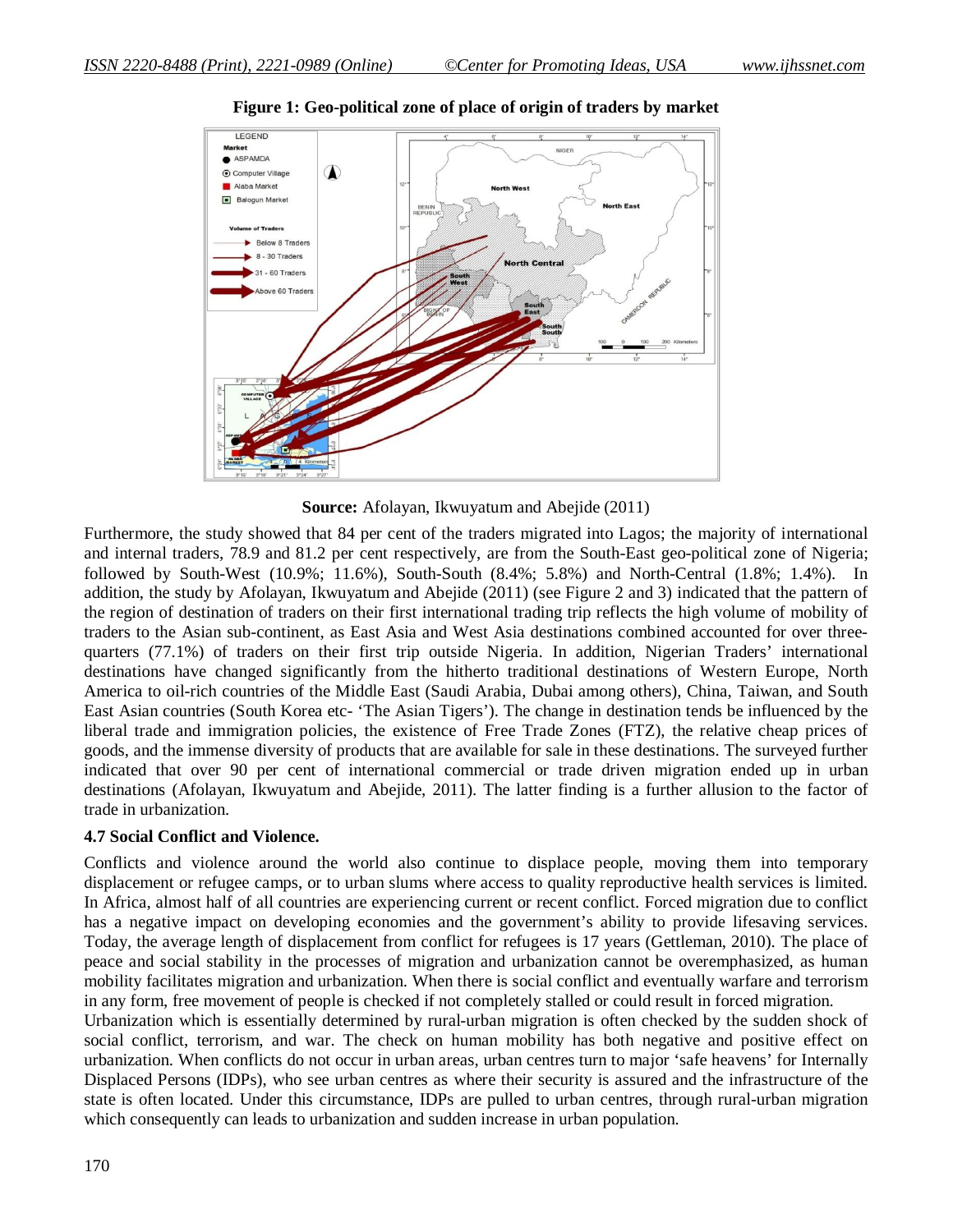

**Figure 1: Geo-political zone of place of origin of traders by market**

**Source:** Afolayan, Ikwuyatum and Abejide (2011)

Furthermore, the study showed that 84 per cent of the traders migrated into Lagos; the majority of international and internal traders, 78.9 and 81.2 per cent respectively, are from the South-East geo-political zone of Nigeria; followed by South-West (10.9%; 11.6%), South-South (8.4%; 5.8%) and North-Central (1.8%; 1.4%). In addition, the study by Afolayan, Ikwuyatum and Abejide (2011) (see Figure 2 and 3) indicated that the pattern of the region of destination of traders on their first international trading trip reflects the high volume of mobility of traders to the Asian sub-continent, as East Asia and West Asia destinations combined accounted for over threequarters (77.1%) of traders on their first trip outside Nigeria. In addition, Nigerian Traders' international destinations have changed significantly from the hitherto traditional destinations of Western Europe, North America to oil-rich countries of the Middle East (Saudi Arabia, Dubai among others), China, Taiwan, and South East Asian countries (South Korea etc- 'The Asian Tigers'). The change in destination tends be influenced by the liberal trade and immigration policies, the existence of Free Trade Zones (FTZ), the relative cheap prices of goods, and the immense diversity of products that are available for sale in these destinations. The surveyed further indicated that over 90 per cent of international commercial or trade driven migration ended up in urban destinations (Afolayan, Ikwuyatum and Abejide, 2011). The latter finding is a further allusion to the factor of trade in urbanization.

#### **4.7 Social Conflict and Violence.**

Conflicts and violence around the world also continue to displace people, moving them into temporary displacement or refugee camps, or to urban slums where access to quality reproductive health services is limited. In Africa, almost half of all countries are experiencing current or recent conflict. Forced migration due to conflict has a negative impact on developing economies and the government's ability to provide lifesaving services. Today, the average length of displacement from conflict for refugees is 17 years (Gettleman, 2010). The place of peace and social stability in the processes of migration and urbanization cannot be overemphasized, as human mobility facilitates migration and urbanization. When there is social conflict and eventually warfare and terrorism in any form, free movement of people is checked if not completely stalled or could result in forced migration.

Urbanization which is essentially determined by rural-urban migration is often checked by the sudden shock of social conflict, terrorism, and war. The check on human mobility has both negative and positive effect on urbanization. When conflicts do not occur in urban areas, urban centres turn to major 'safe heavens' for Internally Displaced Persons (IDPs), who see urban centres as where their security is assured and the infrastructure of the state is often located. Under this circumstance, IDPs are pulled to urban centres, through rural-urban migration which consequently can leads to urbanization and sudden increase in urban population.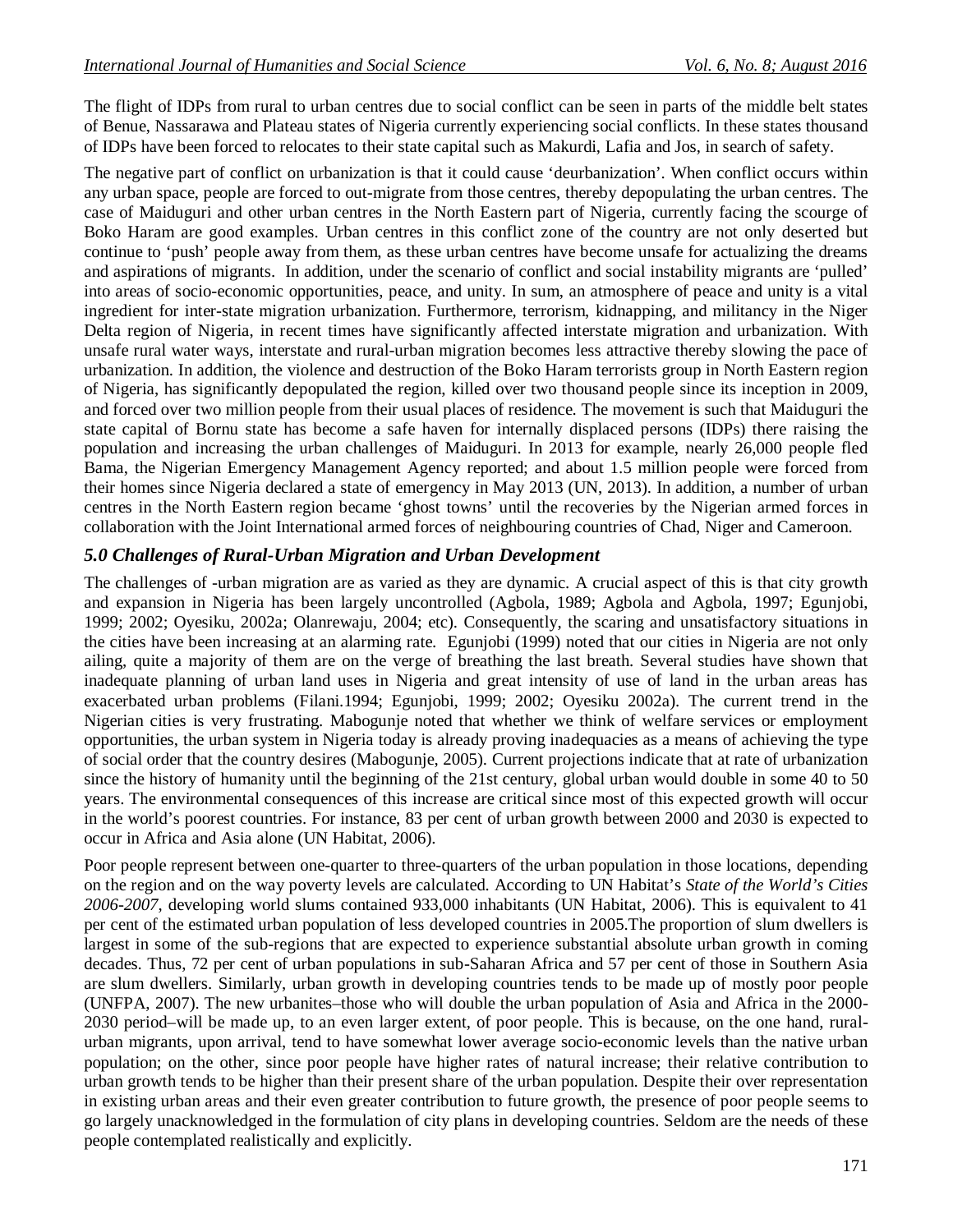The flight of IDPs from rural to urban centres due to social conflict can be seen in parts of the middle belt states of Benue, Nassarawa and Plateau states of Nigeria currently experiencing social conflicts. In these states thousand of IDPs have been forced to relocates to their state capital such as Makurdi, Lafia and Jos, in search of safety.

The negative part of conflict on urbanization is that it could cause 'deurbanization'. When conflict occurs within any urban space, people are forced to out-migrate from those centres, thereby depopulating the urban centres. The case of Maiduguri and other urban centres in the North Eastern part of Nigeria, currently facing the scourge of Boko Haram are good examples. Urban centres in this conflict zone of the country are not only deserted but continue to 'push' people away from them, as these urban centres have become unsafe for actualizing the dreams and aspirations of migrants. In addition, under the scenario of conflict and social instability migrants are 'pulled' into areas of socio-economic opportunities, peace, and unity. In sum, an atmosphere of peace and unity is a vital ingredient for inter-state migration urbanization. Furthermore, terrorism, kidnapping, and militancy in the Niger Delta region of Nigeria, in recent times have significantly affected interstate migration and urbanization. With unsafe rural water ways, interstate and rural-urban migration becomes less attractive thereby slowing the pace of urbanization. In addition, the violence and destruction of the Boko Haram terrorists group in North Eastern region of Nigeria, has significantly depopulated the region, killed over two thousand people since its inception in 2009, and forced over two million people from their usual places of residence. The movement is such that Maiduguri the state capital of Bornu state has become a safe haven for internally displaced persons (IDPs) there raising the population and increasing the urban challenges of Maiduguri. In 2013 for example, nearly 26,000 people fled Bama, the Nigerian Emergency Management Agency reported; and about 1.5 million people were forced from their homes since Nigeria declared a state of emergency in May 2013 (UN, 2013). In addition, a number of urban centres in the North Eastern region became 'ghost towns' until the recoveries by the Nigerian armed forces in collaboration with the Joint International armed forces of neighbouring countries of Chad, Niger and Cameroon.

### *5.0 Challenges of Rural-Urban Migration and Urban Development*

The challenges of -urban migration are as varied as they are dynamic. A crucial aspect of this is that city growth and expansion in Nigeria has been largely uncontrolled (Agbola, 1989; Agbola and Agbola, 1997; Egunjobi, 1999; 2002; Oyesiku, 2002a; Olanrewaju, 2004; etc). Consequently, the scaring and unsatisfactory situations in the cities have been increasing at an alarming rate. Egunjobi (1999) noted that our cities in Nigeria are not only ailing, quite a majority of them are on the verge of breathing the last breath. Several studies have shown that inadequate planning of urban land uses in Nigeria and great intensity of use of land in the urban areas has exacerbated urban problems (Filani.1994; Egunjobi, 1999; 2002; Oyesiku 2002a). The current trend in the Nigerian cities is very frustrating. Mabogunje noted that whether we think of welfare services or employment opportunities, the urban system in Nigeria today is already proving inadequacies as a means of achieving the type of social order that the country desires (Mabogunje, 2005). Current projections indicate that at rate of urbanization since the history of humanity until the beginning of the 21st century, global urban would double in some 40 to 50 years. The environmental consequences of this increase are critical since most of this expected growth will occur in the world's poorest countries. For instance, 83 per cent of urban growth between 2000 and 2030 is expected to occur in Africa and Asia alone (UN Habitat, 2006).

Poor people represent between one-quarter to three-quarters of the urban population in those locations, depending on the region and on the way poverty levels are calculated. According to UN Habitat's *State of the World's Cities 2006-2007*, developing world slums contained 933,000 inhabitants (UN Habitat, 2006). This is equivalent to 41 per cent of the estimated urban population of less developed countries in 2005.The proportion of slum dwellers is largest in some of the sub-regions that are expected to experience substantial absolute urban growth in coming decades. Thus, 72 per cent of urban populations in sub-Saharan Africa and 57 per cent of those in Southern Asia are slum dwellers. Similarly, urban growth in developing countries tends to be made up of mostly poor people (UNFPA, 2007). The new urbanites–those who will double the urban population of Asia and Africa in the 2000- 2030 period–will be made up, to an even larger extent, of poor people. This is because, on the one hand, ruralurban migrants, upon arrival, tend to have somewhat lower average socio-economic levels than the native urban population; on the other, since poor people have higher rates of natural increase; their relative contribution to urban growth tends to be higher than their present share of the urban population. Despite their over representation in existing urban areas and their even greater contribution to future growth, the presence of poor people seems to go largely unacknowledged in the formulation of city plans in developing countries. Seldom are the needs of these people contemplated realistically and explicitly.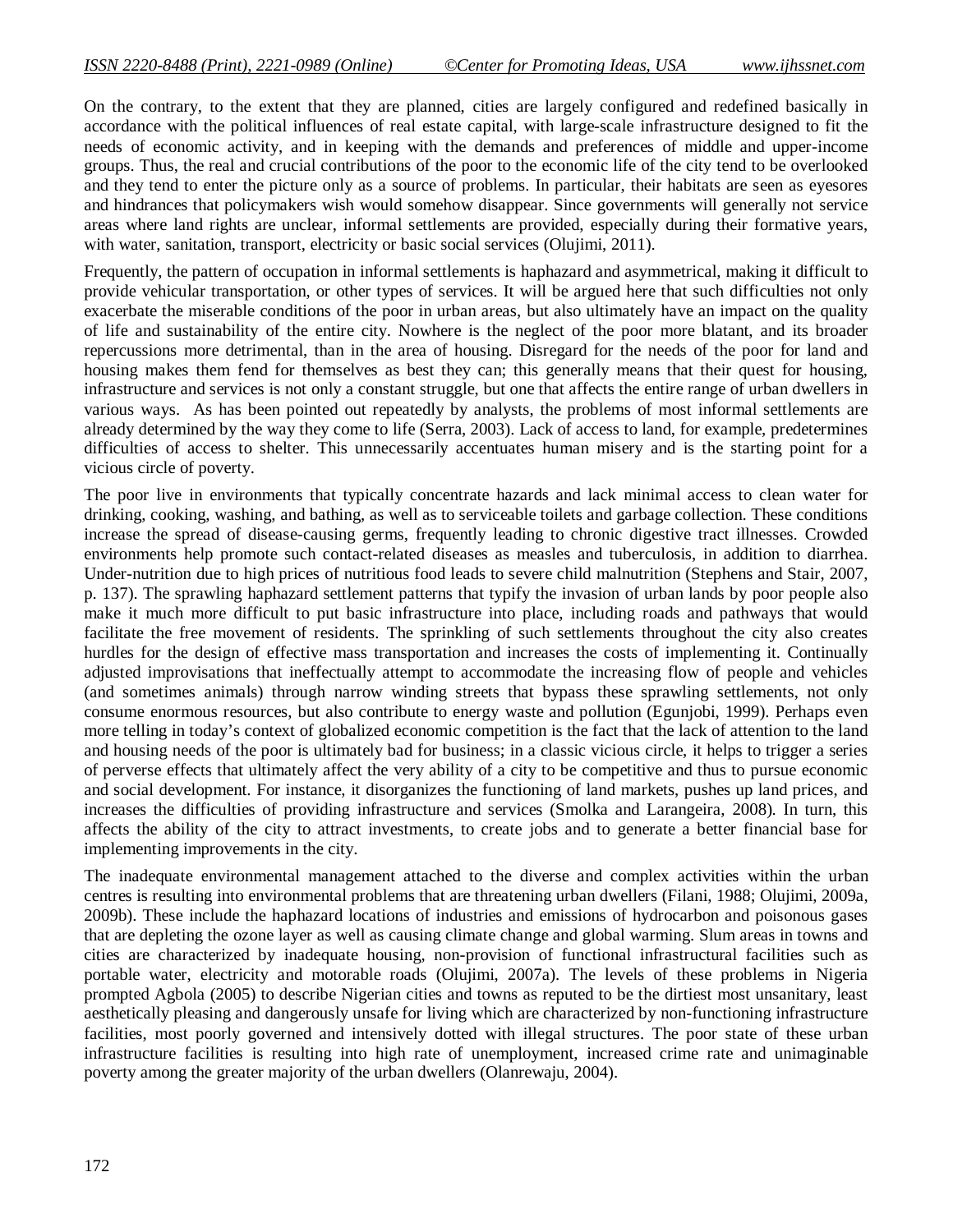On the contrary, to the extent that they are planned, cities are largely configured and redefined basically in accordance with the political influences of real estate capital, with large-scale infrastructure designed to fit the needs of economic activity, and in keeping with the demands and preferences of middle and upper-income groups. Thus, the real and crucial contributions of the poor to the economic life of the city tend to be overlooked and they tend to enter the picture only as a source of problems. In particular, their habitats are seen as eyesores and hindrances that policymakers wish would somehow disappear. Since governments will generally not service areas where land rights are unclear, informal settlements are provided, especially during their formative years, with water, sanitation, transport, electricity or basic social services (Olujimi, 2011).

Frequently, the pattern of occupation in informal settlements is haphazard and asymmetrical, making it difficult to provide vehicular transportation, or other types of services. It will be argued here that such difficulties not only exacerbate the miserable conditions of the poor in urban areas, but also ultimately have an impact on the quality of life and sustainability of the entire city. Nowhere is the neglect of the poor more blatant, and its broader repercussions more detrimental, than in the area of housing. Disregard for the needs of the poor for land and housing makes them fend for themselves as best they can; this generally means that their quest for housing, infrastructure and services is not only a constant struggle, but one that affects the entire range of urban dwellers in various ways. As has been pointed out repeatedly by analysts, the problems of most informal settlements are already determined by the way they come to life (Serra, 2003). Lack of access to land, for example, predetermines difficulties of access to shelter. This unnecessarily accentuates human misery and is the starting point for a vicious circle of poverty.

The poor live in environments that typically concentrate hazards and lack minimal access to clean water for drinking, cooking, washing, and bathing, as well as to serviceable toilets and garbage collection. These conditions increase the spread of disease-causing germs, frequently leading to chronic digestive tract illnesses. Crowded environments help promote such contact-related diseases as measles and tuberculosis, in addition to diarrhea. Under-nutrition due to high prices of nutritious food leads to severe child malnutrition (Stephens and Stair, 2007, p. 137). The sprawling haphazard settlement patterns that typify the invasion of urban lands by poor people also make it much more difficult to put basic infrastructure into place, including roads and pathways that would facilitate the free movement of residents. The sprinkling of such settlements throughout the city also creates hurdles for the design of effective mass transportation and increases the costs of implementing it. Continually adjusted improvisations that ineffectually attempt to accommodate the increasing flow of people and vehicles (and sometimes animals) through narrow winding streets that bypass these sprawling settlements, not only consume enormous resources, but also contribute to energy waste and pollution (Egunjobi, 1999). Perhaps even more telling in today's context of globalized economic competition is the fact that the lack of attention to the land and housing needs of the poor is ultimately bad for business; in a classic vicious circle, it helps to trigger a series of perverse effects that ultimately affect the very ability of a city to be competitive and thus to pursue economic and social development. For instance, it disorganizes the functioning of land markets, pushes up land prices, and increases the difficulties of providing infrastructure and services (Smolka and Larangeira, 2008). In turn, this affects the ability of the city to attract investments, to create jobs and to generate a better financial base for implementing improvements in the city.

The inadequate environmental management attached to the diverse and complex activities within the urban centres is resulting into environmental problems that are threatening urban dwellers (Filani, 1988; Olujimi, 2009a, 2009b). These include the haphazard locations of industries and emissions of hydrocarbon and poisonous gases that are depleting the ozone layer as well as causing climate change and global warming. Slum areas in towns and cities are characterized by inadequate housing, non-provision of functional infrastructural facilities such as portable water, electricity and motorable roads (Olujimi, 2007a). The levels of these problems in Nigeria prompted Agbola (2005) to describe Nigerian cities and towns as reputed to be the dirtiest most unsanitary, least aesthetically pleasing and dangerously unsafe for living which are characterized by non-functioning infrastructure facilities, most poorly governed and intensively dotted with illegal structures. The poor state of these urban infrastructure facilities is resulting into high rate of unemployment, increased crime rate and unimaginable poverty among the greater majority of the urban dwellers (Olanrewaju, 2004).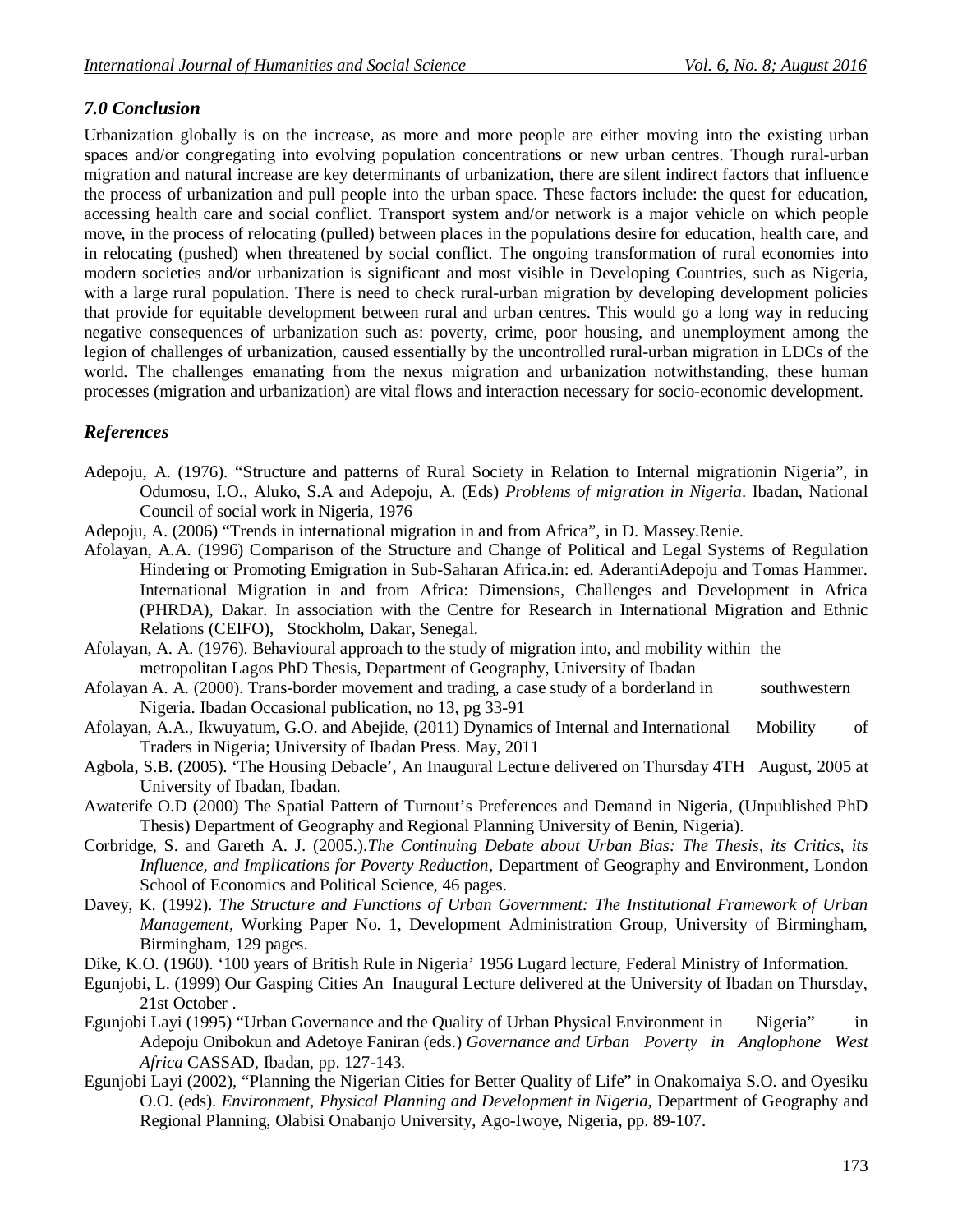## *7.0 Conclusion*

Urbanization globally is on the increase, as more and more people are either moving into the existing urban spaces and/or congregating into evolving population concentrations or new urban centres. Though rural-urban migration and natural increase are key determinants of urbanization, there are silent indirect factors that influence the process of urbanization and pull people into the urban space. These factors include: the quest for education, accessing health care and social conflict. Transport system and/or network is a major vehicle on which people move, in the process of relocating (pulled) between places in the populations desire for education, health care, and in relocating (pushed) when threatened by social conflict. The ongoing transformation of rural economies into modern societies and/or urbanization is significant and most visible in Developing Countries, such as Nigeria, with a large rural population. There is need to check rural-urban migration by developing development policies that provide for equitable development between rural and urban centres. This would go a long way in reducing negative consequences of urbanization such as: poverty, crime, poor housing, and unemployment among the legion of challenges of urbanization, caused essentially by the uncontrolled rural-urban migration in LDCs of the world. The challenges emanating from the nexus migration and urbanization notwithstanding, these human processes (migration and urbanization) are vital flows and interaction necessary for socio-economic development.

### *References*

- Adepoju, A. (1976). "Structure and patterns of Rural Society in Relation to Internal migrationin Nigeria", in Odumosu, I.O., Aluko, S.A and Adepoju, A. (Eds) *Problems of migration in Nigeria*. Ibadan, National Council of social work in Nigeria, 1976
- Adepoju, A. (2006) "Trends in international migration in and from Africa", in D. Massey.Renie.
- Afolayan, A.A. (1996) Comparison of the Structure and Change of Political and Legal Systems of Regulation Hindering or Promoting Emigration in Sub-Saharan Africa.in: ed. AderantiAdepoju and Tomas Hammer. International Migration in and from Africa: Dimensions, Challenges and Development in Africa (PHRDA), Dakar. In association with the Centre for Research in International Migration and Ethnic Relations (CEIFO), Stockholm, Dakar, Senegal.
- Afolayan, A. A. (1976). Behavioural approach to the study of migration into, and mobility within the metropolitan Lagos PhD Thesis, Department of Geography, University of Ibadan
- Afolayan A. A. (2000). Trans-border movement and trading, a case study of a borderland in southwestern Nigeria. Ibadan Occasional publication, no 13, pg 33-91
- Afolayan, A.A., Ikwuyatum, G.O. and Abejide, (2011) Dynamics of Internal and International Mobility of Traders in Nigeria; University of Ibadan Press. May, 2011
- Agbola, S.B. (2005). 'The Housing Debacle', An Inaugural Lecture delivered on Thursday 4TH August, 2005 at University of Ibadan, Ibadan.
- Awaterife O.D (2000) The Spatial Pattern of Turnout's Preferences and Demand in Nigeria, (Unpublished PhD Thesis) Department of Geography and Regional Planning University of Benin, Nigeria).
- Corbridge, S. and Gareth A. J. (2005.).*The Continuing Debate about Urban Bias: The Thesis, its Critics, its Influence, and Implications for Poverty Reduction*, Department of Geography and Environment, London School of Economics and Political Science, 46 pages.
- Davey, K. (1992). *The Structure and Functions of Urban Government: The Institutional Framework of Urban Management*, Working Paper No. 1, Development Administration Group, University of Birmingham, Birmingham, 129 pages.
- Dike, K.O. (1960). '100 years of British Rule in Nigeria' 1956 Lugard lecture, Federal Ministry of Information.
- Egunjobi, L. (1999) Our Gasping Cities An Inaugural Lecture delivered at the University of Ibadan on Thursday, 21st October .
- Egunjobi Layi (1995) "Urban Governance and the Quality of Urban Physical Environment in Nigeria" in Adepoju Onibokun and Adetoye Faniran (eds.) *Governance and Urban Poverty in Anglophone West Africa* CASSAD, Ibadan, pp. 127-143.
- Egunjobi Layi (2002), "Planning the Nigerian Cities for Better Quality of Life" in Onakomaiya S.O. and Oyesiku O.O. (eds). *Environment, Physical Planning and Development in Nigeria, Department of Geography and* Regional Planning, Olabisi Onabanjo University, Ago-Iwoye, Nigeria, pp. 89-107.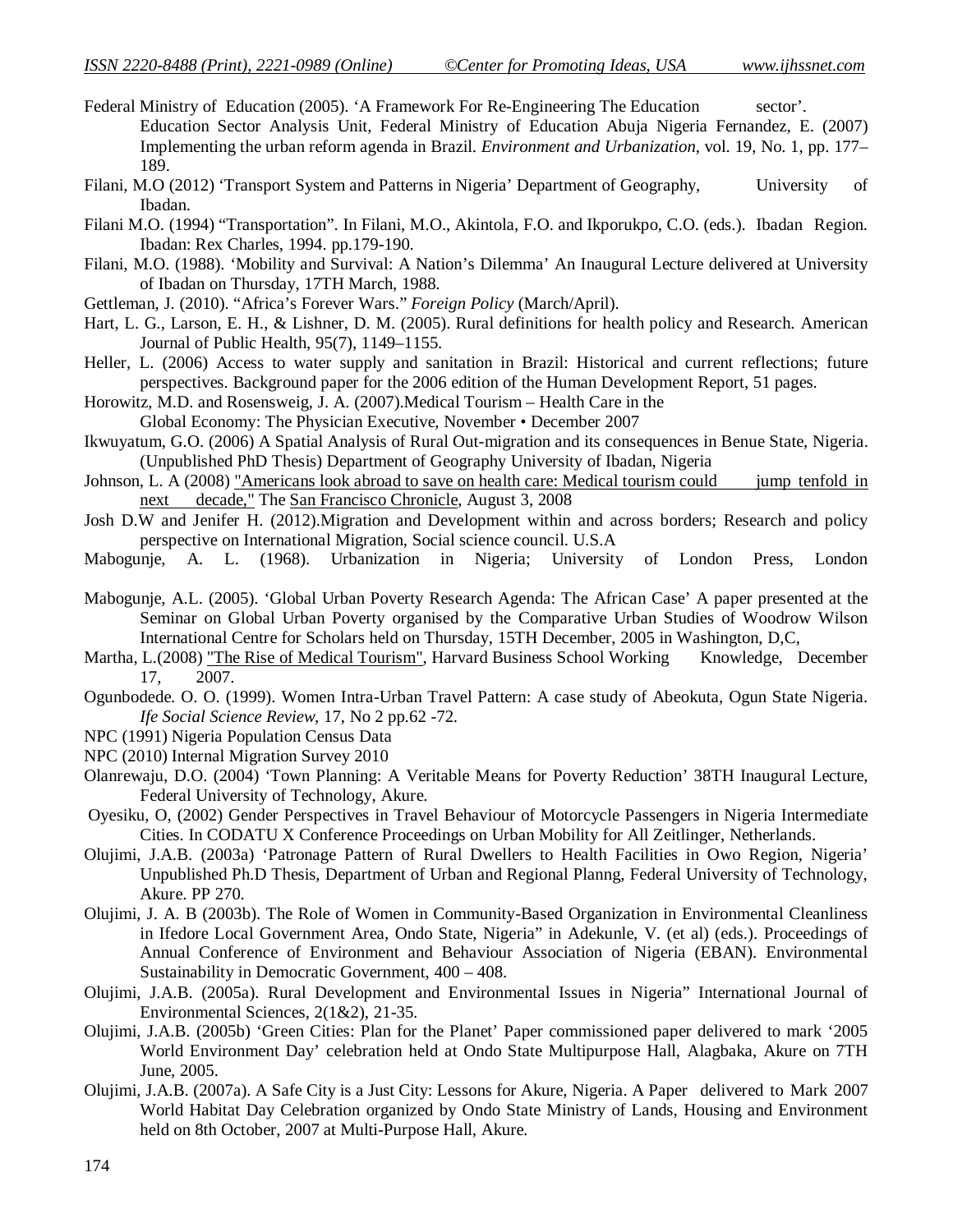- Federal Ministry of Education (2005). 'A Framework For Re-Engineering The Education sector'. Education Sector Analysis Unit, Federal Ministry of Education Abuja Nigeria Fernandez, E. (2007) Implementing the urban reform agenda in Brazil. *Environment and Urbanization*, vol. 19, No. 1, pp. 177– 189.
- Filani, M.O (2012) 'Transport System and Patterns in Nigeria' Department of Geography, University of Ibadan.
- Filani M.O. (1994) "Transportation". In Filani, M.O., Akintola, F.O. and Ikporukpo, C.O. (eds.). Ibadan Region. Ibadan: Rex Charles, 1994. pp.179-190.
- Filani, M.O. (1988). 'Mobility and Survival: A Nation's Dilemma' An Inaugural Lecture delivered at University of Ibadan on Thursday, 17TH March, 1988.
- Gettleman, J. (2010). "Africa's Forever Wars." *Foreign Policy* (March/April).
- Hart, L. G., Larson, E. H., & Lishner, D. M. (2005). Rural definitions for health policy and Research. American Journal of Public Health, 95(7), 1149–1155.
- Heller, L. (2006) Access to water supply and sanitation in Brazil: Historical and current reflections; future perspectives. Background paper for the 2006 edition of the Human Development Report, 51 pages.
- Horowitz, M.D. and Rosensweig, J. A. (2007).Medical Tourism Health Care in the Global Economy: The Physician Executive, November • December 2007
- Ikwuyatum, G.O. (2006) A Spatial Analysis of Rural Out-migration and its consequences in Benue State, Nigeria. (Unpublished PhD Thesis) Department of Geography University of Ibadan, Nigeria
- Johnson, L. A (2008) "Americans look abroad to save on health care: Medical tourism could jump tenfold in next decade," The San Francisco Chronicle, August 3, 2008
- Josh D.W and Jenifer H. (2012).Migration and Development within and across borders; Research and policy perspective on International Migration, Social science council. U.S.A
- Mabogunje, A. L. (1968). Urbanization in Nigeria; University of London Press, London
- Mabogunje, A.L. (2005). 'Global Urban Poverty Research Agenda: The African Case' A paper presented at the Seminar on Global Urban Poverty organised by the Comparative Urban Studies of Woodrow Wilson International Centre for Scholars held on Thursday, 15TH December, 2005 in Washington, D,C,
- Martha, L.(2008) "The Rise of Medical Tourism", Harvard Business School Working Knowledge, December 17, 2007.
- Ogunbodede. O. O. (1999). Women Intra-Urban Travel Pattern: A case study of Abeokuta, Ogun State Nigeria. *Ife Social Science Review*, 17, No 2 pp.62 -72.
- NPC (1991) Nigeria Population Census Data
- NPC (2010) Internal Migration Survey 2010
- Olanrewaju, D.O. (2004) 'Town Planning: A Veritable Means for Poverty Reduction' 38TH Inaugural Lecture, Federal University of Technology, Akure.
- Oyesiku, O, (2002) Gender Perspectives in Travel Behaviour of Motorcycle Passengers in Nigeria Intermediate Cities. In CODATU X Conference Proceedings on Urban Mobility for All Zeitlinger, Netherlands.
- Olujimi, J.A.B. (2003a) 'Patronage Pattern of Rural Dwellers to Health Facilities in Owo Region, Nigeria' Unpublished Ph.D Thesis, Department of Urban and Regional Planng, Federal University of Technology, Akure. PP 270.
- Olujimi, J. A. B (2003b). The Role of Women in Community-Based Organization in Environmental Cleanliness in Ifedore Local Government Area, Ondo State, Nigeria" in Adekunle, V. (et al) (eds.). Proceedings of Annual Conference of Environment and Behaviour Association of Nigeria (EBAN). Environmental Sustainability in Democratic Government, 400 – 408.
- Olujimi, J.A.B. (2005a). Rural Development and Environmental Issues in Nigeria" International Journal of Environmental Sciences, 2(1&2), 21-35.
- Olujimi, J.A.B. (2005b) 'Green Cities: Plan for the Planet' Paper commissioned paper delivered to mark '2005 World Environment Day' celebration held at Ondo State Multipurpose Hall, Alagbaka, Akure on 7TH June, 2005.
- Olujimi, J.A.B. (2007a). A Safe City is a Just City: Lessons for Akure, Nigeria. A Paper delivered to Mark 2007 World Habitat Day Celebration organized by Ondo State Ministry of Lands, Housing and Environment held on 8th October, 2007 at Multi-Purpose Hall, Akure.